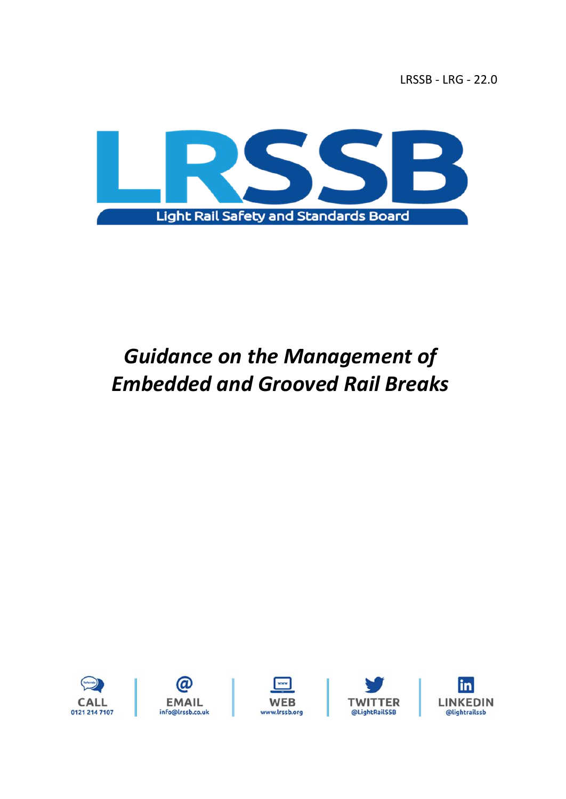LRSSB - LRG - 22.0



# *Guidance on the Management of Embedded and Grooved Rail Breaks*









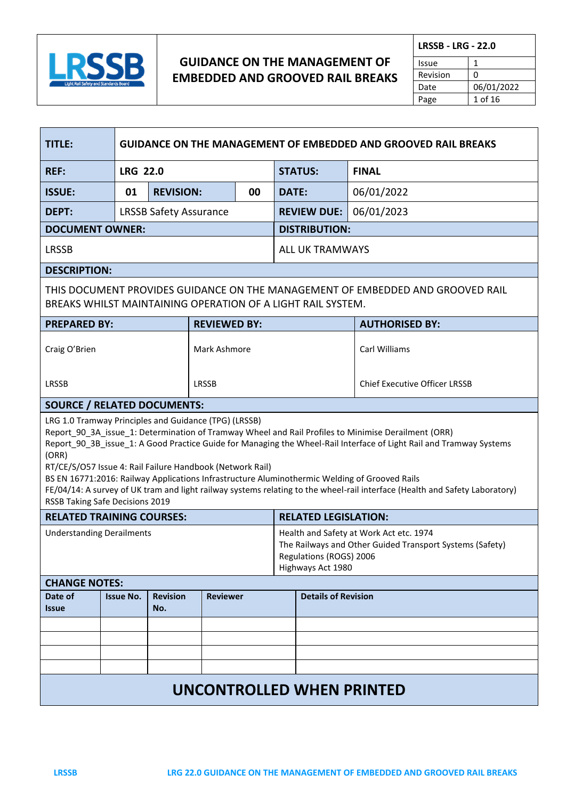

<u> Tanzania (h. 1888).</u>

 $\mathcal{L}_{\rm{max}}$ 

### **GUIDANCE ON THE MANAGEMENT OF EMBEDDED AND GROOVED RAIL BREAKS**

| <b>LRSSB - LRG - 22.0</b> |            |  |
|---------------------------|------------|--|
| Issue                     |            |  |
| Revision                  | n          |  |
| Date                      | 06/01/2022 |  |
| Page                      | 1 of 16    |  |

| <b>TITLE:</b>                                                                                                                                                                                                                                                                                                                                                                                                                                                                                                                                                                                                                |                  | <b>GUIDANCE ON THE MANAGEMENT OF EMBEDDED AND GROOVED RAIL BREAKS</b> |                     |                                                                                                                                                     |              |                            |                                                                                |  |
|------------------------------------------------------------------------------------------------------------------------------------------------------------------------------------------------------------------------------------------------------------------------------------------------------------------------------------------------------------------------------------------------------------------------------------------------------------------------------------------------------------------------------------------------------------------------------------------------------------------------------|------------------|-----------------------------------------------------------------------|---------------------|-----------------------------------------------------------------------------------------------------------------------------------------------------|--------------|----------------------------|--------------------------------------------------------------------------------|--|
| <b>REF:</b>                                                                                                                                                                                                                                                                                                                                                                                                                                                                                                                                                                                                                  |                  | <b>LRG 22.0</b>                                                       |                     |                                                                                                                                                     |              | <b>STATUS:</b>             | <b>FINAL</b>                                                                   |  |
| <b>ISSUE:</b>                                                                                                                                                                                                                                                                                                                                                                                                                                                                                                                                                                                                                | 01               | <b>REVISION:</b>                                                      |                     | 00                                                                                                                                                  | <b>DATE:</b> |                            | 06/01/2022                                                                     |  |
| <b>DEPT:</b>                                                                                                                                                                                                                                                                                                                                                                                                                                                                                                                                                                                                                 |                  | <b>LRSSB Safety Assurance</b>                                         |                     |                                                                                                                                                     |              | <b>REVIEW DUE:</b>         | 06/01/2023                                                                     |  |
| <b>DOCUMENT OWNER:</b>                                                                                                                                                                                                                                                                                                                                                                                                                                                                                                                                                                                                       |                  |                                                                       |                     |                                                                                                                                                     |              | <b>DISTRIBUTION:</b>       |                                                                                |  |
| <b>LRSSB</b>                                                                                                                                                                                                                                                                                                                                                                                                                                                                                                                                                                                                                 |                  |                                                                       |                     |                                                                                                                                                     |              | <b>ALL UK TRAMWAYS</b>     |                                                                                |  |
| <b>DESCRIPTION:</b>                                                                                                                                                                                                                                                                                                                                                                                                                                                                                                                                                                                                          |                  |                                                                       |                     |                                                                                                                                                     |              |                            |                                                                                |  |
| BREAKS WHILST MAINTAINING OPERATION OF A LIGHT RAIL SYSTEM.                                                                                                                                                                                                                                                                                                                                                                                                                                                                                                                                                                  |                  |                                                                       |                     |                                                                                                                                                     |              |                            | THIS DOCUMENT PROVIDES GUIDANCE ON THE MANAGEMENT OF EMBEDDED AND GROOVED RAIL |  |
| <b>PREPARED BY:</b>                                                                                                                                                                                                                                                                                                                                                                                                                                                                                                                                                                                                          |                  |                                                                       | <b>REVIEWED BY:</b> |                                                                                                                                                     |              |                            | <b>AUTHORISED BY:</b>                                                          |  |
| Craig O'Brien                                                                                                                                                                                                                                                                                                                                                                                                                                                                                                                                                                                                                |                  |                                                                       | Mark Ashmore        |                                                                                                                                                     |              |                            | Carl Williams                                                                  |  |
| <b>LRSSB</b>                                                                                                                                                                                                                                                                                                                                                                                                                                                                                                                                                                                                                 |                  |                                                                       | <b>LRSSB</b>        |                                                                                                                                                     |              |                            | <b>Chief Executive Officer LRSSB</b>                                           |  |
| <b>SOURCE / RELATED DOCUMENTS:</b>                                                                                                                                                                                                                                                                                                                                                                                                                                                                                                                                                                                           |                  |                                                                       |                     |                                                                                                                                                     |              |                            |                                                                                |  |
| LRG 1.0 Tramway Principles and Guidance (TPG) (LRSSB)<br>Report_90_3A_issue_1: Determination of Tramway Wheel and Rail Profiles to Minimise Derailment (ORR)<br>Report_90_3B_issue_1: A Good Practice Guide for Managing the Wheel-Rail Interface of Light Rail and Tramway Systems<br>(ORR)<br>RT/CE/S/O57 Issue 4: Rail Failure Handbook (Network Rail)<br>BS EN 16771:2016: Railway Applications Infrastructure Aluminothermic Welding of Grooved Rails<br>FE/04/14: A survey of UK tram and light railway systems relating to the wheel-rail interface (Health and Safety Laboratory)<br>RSSB Taking Safe Decisions 2019 |                  |                                                                       |                     |                                                                                                                                                     |              |                            |                                                                                |  |
| <b>RELATED LEGISLATION:</b><br><b>RELATED TRAINING COURSES:</b>                                                                                                                                                                                                                                                                                                                                                                                                                                                                                                                                                              |                  |                                                                       |                     |                                                                                                                                                     |              |                            |                                                                                |  |
| <b>Understanding Derailments</b>                                                                                                                                                                                                                                                                                                                                                                                                                                                                                                                                                                                             |                  |                                                                       |                     | Health and Safety at Work Act etc. 1974<br>The Railways and Other Guided Transport Systems (Safety)<br>Regulations (ROGS) 2006<br>Highways Act 1980 |              |                            |                                                                                |  |
| <b>CHANGE NOTES:</b>                                                                                                                                                                                                                                                                                                                                                                                                                                                                                                                                                                                                         |                  |                                                                       |                     |                                                                                                                                                     |              |                            |                                                                                |  |
| Date of<br><b>Issue</b>                                                                                                                                                                                                                                                                                                                                                                                                                                                                                                                                                                                                      | <b>Issue No.</b> | <b>Revision</b><br>No.                                                | <b>Reviewer</b>     |                                                                                                                                                     |              | <b>Details of Revision</b> |                                                                                |  |
|                                                                                                                                                                                                                                                                                                                                                                                                                                                                                                                                                                                                                              |                  |                                                                       |                     |                                                                                                                                                     |              |                            |                                                                                |  |
|                                                                                                                                                                                                                                                                                                                                                                                                                                                                                                                                                                                                                              |                  |                                                                       |                     |                                                                                                                                                     |              |                            |                                                                                |  |
|                                                                                                                                                                                                                                                                                                                                                                                                                                                                                                                                                                                                                              |                  |                                                                       |                     |                                                                                                                                                     |              |                            |                                                                                |  |
| <b>UNCONTROLLED WHEN PRINTED</b>                                                                                                                                                                                                                                                                                                                                                                                                                                                                                                                                                                                             |                  |                                                                       |                     |                                                                                                                                                     |              |                            |                                                                                |  |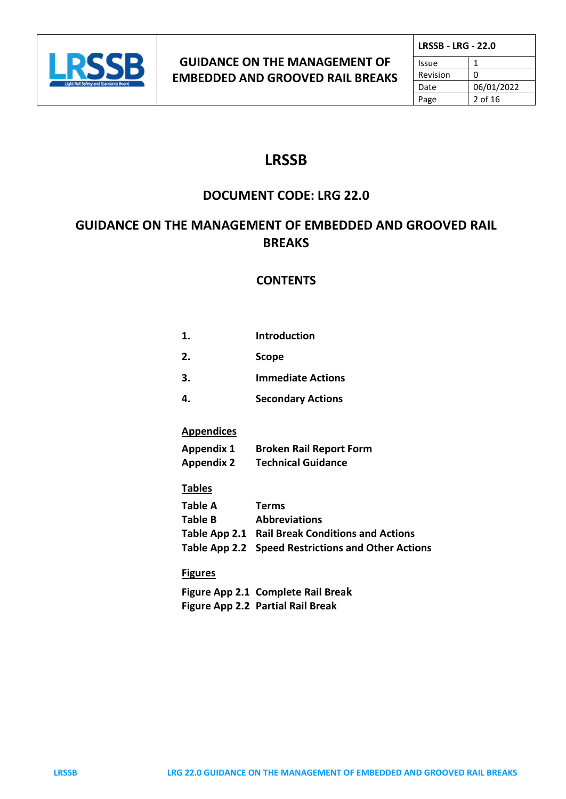

| <b>LRSSB - LRG - 22.0</b> |            |
|---------------------------|------------|
| Issue                     |            |
| Revision                  | ŋ          |
| Date                      | 06/01/2022 |
| Page                      | 2 of 16    |

# **LRSSB**

## **DOCUMENT CODE: LRG 22.0**

# **GUIDANCE ON THE MANAGEMENT OF EMBEDDED AND GROOVED RAIL BREAKS**

### **CONTENTS**

| 1. | <b>Introduction</b>      |
|----|--------------------------|
| 2. | <b>Scope</b>             |
| 3. | <b>Immediate Actions</b> |
|    |                          |

| <b>Secondary Actions</b> |  |
|--------------------------|--|
|                          |  |

### **Appendices**

| <b>Appendix 1</b> | <b>Broken Rail Report Form</b> |
|-------------------|--------------------------------|
| <b>Appendix 2</b> | <b>Technical Guidance</b>      |

### **Tables**

| Table A | <b>Terms</b>                                       |
|---------|----------------------------------------------------|
| Table B | <b>Abbreviations</b>                               |
|         | Table App 2.1 Rail Break Conditions and Actions    |
|         | Table App 2.2 Speed Restrictions and Other Actions |

### **Figures**

**Figure App 2.1 Complete Rail Break Figure App 2.2 Partial Rail Break**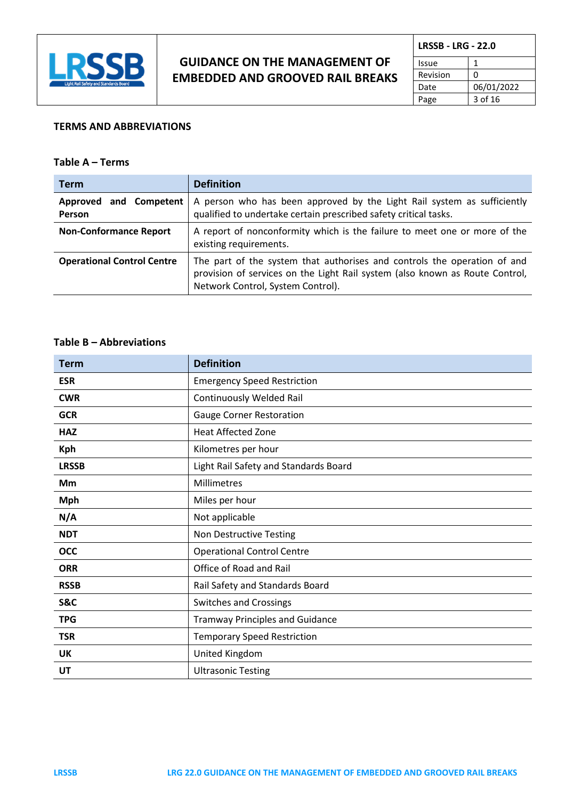

| <b>LRSSB - LRG - 22.0</b> |            |  |
|---------------------------|------------|--|
| Issue                     |            |  |
| Revision                  | ŋ          |  |
| Date                      | 06/01/2022 |  |
| Page                      | 3 of 16    |  |

### **TERMS AND ABBREVIATIONS**

### **Table A – Terms**

| <b>Term</b>                       | <b>Definition</b>                                                                                                                                                                             |
|-----------------------------------|-----------------------------------------------------------------------------------------------------------------------------------------------------------------------------------------------|
| Approved and Competent<br>Person  | A person who has been approved by the Light Rail system as sufficiently<br>qualified to undertake certain prescribed safety critical tasks.                                                   |
| <b>Non-Conformance Report</b>     | A report of nonconformity which is the failure to meet one or more of the<br>existing requirements.                                                                                           |
| <b>Operational Control Centre</b> | The part of the system that authorises and controls the operation of and<br>provision of services on the Light Rail system (also known as Route Control,<br>Network Control, System Control). |

#### **Table B – Abbreviations**

| <b>Term</b>  | <b>Definition</b>                      |
|--------------|----------------------------------------|
| <b>ESR</b>   | <b>Emergency Speed Restriction</b>     |
| <b>CWR</b>   | <b>Continuously Welded Rail</b>        |
| <b>GCR</b>   | Gauge Corner Restoration               |
| <b>HAZ</b>   | <b>Heat Affected Zone</b>              |
| <b>Kph</b>   | Kilometres per hour                    |
| <b>LRSSB</b> | Light Rail Safety and Standards Board  |
| Mm           | Millimetres                            |
| <b>Mph</b>   | Miles per hour                         |
| N/A          | Not applicable                         |
| <b>NDT</b>   | Non Destructive Testing                |
| <b>OCC</b>   | <b>Operational Control Centre</b>      |
| <b>ORR</b>   | Office of Road and Rail                |
| <b>RSSB</b>  | Rail Safety and Standards Board        |
| S&C          | <b>Switches and Crossings</b>          |
| <b>TPG</b>   | <b>Tramway Principles and Guidance</b> |
| <b>TSR</b>   | <b>Temporary Speed Restriction</b>     |
| <b>UK</b>    | United Kingdom                         |
| UT           | <b>Ultrasonic Testing</b>              |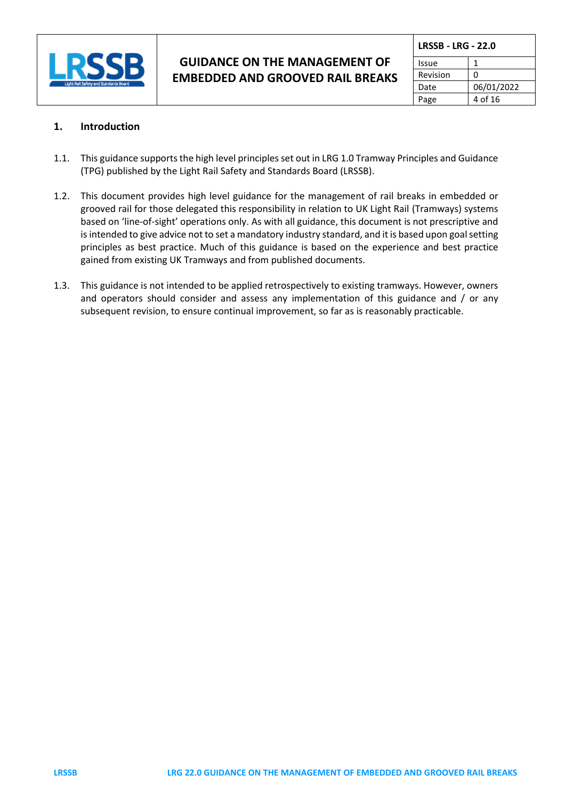

| <b>LRSSB - LRG - 22.0</b> |            |  |
|---------------------------|------------|--|
| Issue                     |            |  |
| Revision                  | n          |  |
| Date                      | 06/01/2022 |  |
| Page                      | 4 of 16    |  |

### **1. Introduction**

- 1.1. This guidance supports the high level principles set out in LRG 1.0 Tramway Principles and Guidance (TPG) published by the Light Rail Safety and Standards Board (LRSSB).
- 1.2. This document provides high level guidance for the management of rail breaks in embedded or grooved rail for those delegated this responsibility in relation to UK Light Rail (Tramways) systems based on 'line-of-sight' operations only. As with all guidance, this document is not prescriptive and is intended to give advice not to set a mandatory industry standard, and it is based upon goal setting principles as best practice. Much of this guidance is based on the experience and best practice gained from existing UK Tramways and from published documents.
- 1.3. This guidance is not intended to be applied retrospectively to existing tramways. However, owners and operators should consider and assess any implementation of this guidance and / or any subsequent revision, to ensure continual improvement, so far as is reasonably practicable.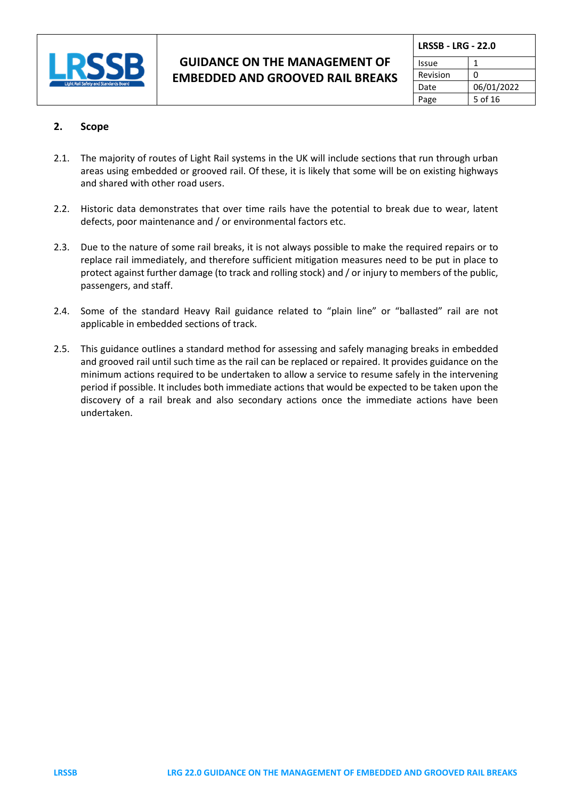

|  | <b>LRSSB - LRG - 22.0</b> |            |  |
|--|---------------------------|------------|--|
|  | Issue                     |            |  |
|  | Revision                  | n          |  |
|  | Date                      | 06/01/2022 |  |
|  | Page                      | 5 of 16    |  |

### **2. Scope**

- 2.1. The majority of routes of Light Rail systems in the UK will include sections that run through urban areas using embedded or grooved rail. Of these, it is likely that some will be on existing highways and shared with other road users.
- 2.2. Historic data demonstrates that over time rails have the potential to break due to wear, latent defects, poor maintenance and / or environmental factors etc.
- 2.3. Due to the nature of some rail breaks, it is not always possible to make the required repairs or to replace rail immediately, and therefore sufficient mitigation measures need to be put in place to protect against further damage (to track and rolling stock) and / or injury to members of the public, passengers, and staff.
- 2.4. Some of the standard Heavy Rail guidance related to "plain line" or "ballasted" rail are not applicable in embedded sections of track.
- 2.5. This guidance outlines a standard method for assessing and safely managing breaks in embedded and grooved rail until such time as the rail can be replaced or repaired. It provides guidance on the minimum actions required to be undertaken to allow a service to resume safely in the intervening period if possible. It includes both immediate actions that would be expected to be taken upon the discovery of a rail break and also secondary actions once the immediate actions have been undertaken.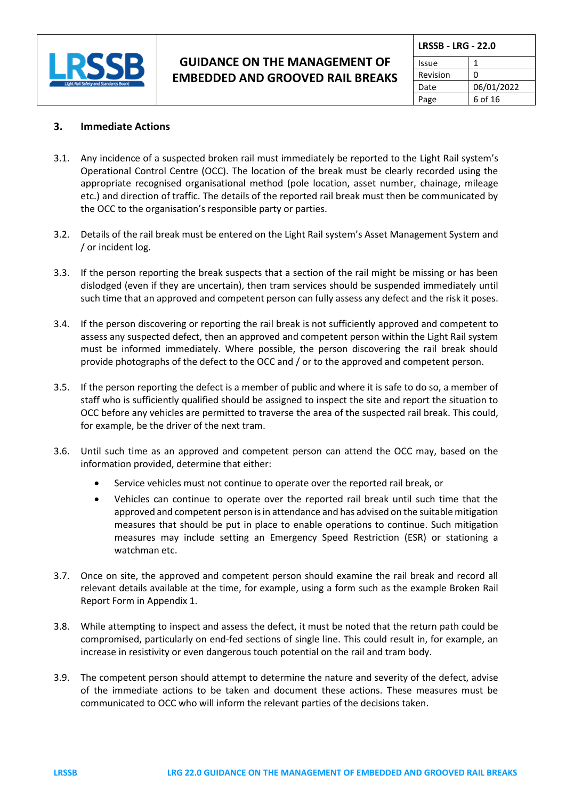

| <b>LRSSB - LRG - 22.0</b> |            |  |  |  |
|---------------------------|------------|--|--|--|
| Issue                     |            |  |  |  |
| Revision                  | O          |  |  |  |
| Date                      | 06/01/2022 |  |  |  |
| Page                      | 6 of 16    |  |  |  |

#### **3. Immediate Actions**

- 3.1. Any incidence of a suspected broken rail must immediately be reported to the Light Rail system's Operational Control Centre (OCC). The location of the break must be clearly recorded using the appropriate recognised organisational method (pole location, asset number, chainage, mileage etc.) and direction of traffic. The details of the reported rail break must then be communicated by the OCC to the organisation's responsible party or parties.
- 3.2. Details of the rail break must be entered on the Light Rail system's Asset Management System and / or incident log.
- 3.3. If the person reporting the break suspects that a section of the rail might be missing or has been dislodged (even if they are uncertain), then tram services should be suspended immediately until such time that an approved and competent person can fully assess any defect and the risk it poses.
- 3.4. If the person discovering or reporting the rail break is not sufficiently approved and competent to assess any suspected defect, then an approved and competent person within the Light Rail system must be informed immediately. Where possible, the person discovering the rail break should provide photographs of the defect to the OCC and / or to the approved and competent person.
- 3.5. If the person reporting the defect is a member of public and where it is safe to do so, a member of staff who is sufficiently qualified should be assigned to inspect the site and report the situation to OCC before any vehicles are permitted to traverse the area of the suspected rail break. This could, for example, be the driver of the next tram.
- 3.6. Until such time as an approved and competent person can attend the OCC may, based on the information provided, determine that either:
	- Service vehicles must not continue to operate over the reported rail break, or
	- Vehicles can continue to operate over the reported rail break until such time that the approved and competent person is in attendance and has advised on the suitable mitigation measures that should be put in place to enable operations to continue. Such mitigation measures may include setting an Emergency Speed Restriction (ESR) or stationing a watchman etc.
- 3.7. Once on site, the approved and competent person should examine the rail break and record all relevant details available at the time, for example, using a form such as the example Broken Rail Report Form in Appendix 1.
- 3.8. While attempting to inspect and assess the defect, it must be noted that the return path could be compromised, particularly on end-fed sections of single line. This could result in, for example, an increase in resistivity or even dangerous touch potential on the rail and tram body.
- 3.9. The competent person should attempt to determine the nature and severity of the defect, advise of the immediate actions to be taken and document these actions. These measures must be communicated to OCC who will inform the relevant parties of the decisions taken.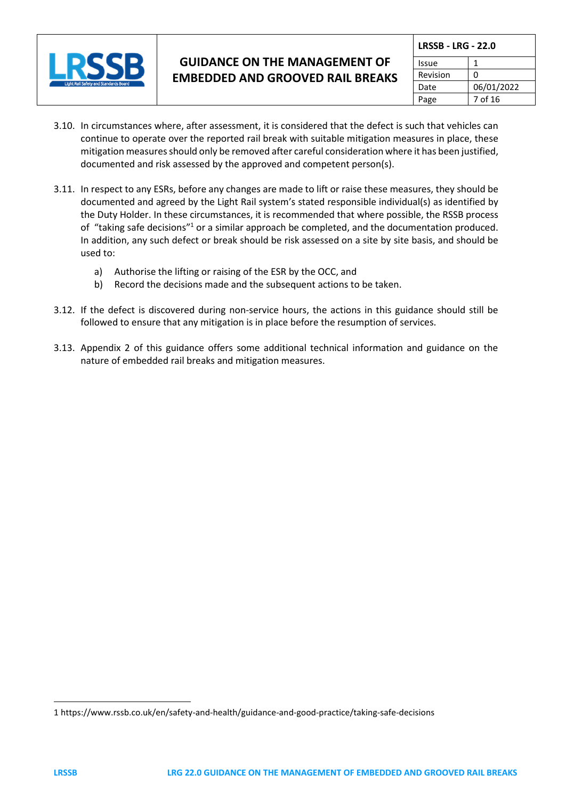

| <b>LRSSB - LRG - 22.0</b> |            |  |  |
|---------------------------|------------|--|--|
| Issue                     |            |  |  |
| Revision                  | ŋ          |  |  |
| Date                      | 06/01/2022 |  |  |
| Page                      | 7 of 16    |  |  |

- 3.10. In circumstances where, after assessment, it is considered that the defect is such that vehicles can continue to operate over the reported rail break with suitable mitigation measures in place, these mitigation measures should only be removed after careful consideration where it has been justified, documented and risk assessed by the approved and competent person(s).
- 3.11. In respect to any ESRs, before any changes are made to lift or raise these measures, they should be documented and agreed by the Light Rail system's stated responsible individual(s) as identified by the Duty Holder. In these circumstances, it is recommended that where possible, the RSSB process of "taking safe decisions"<sup>1</sup> or a similar approach be completed, and the documentation produced. In addition, any such defect or break should be risk assessed on a site by site basis, and should be used to:
	- a) Authorise the lifting or raising of the ESR by the OCC, and
	- b) Record the decisions made and the subsequent actions to be taken.
- 3.12. If the defect is discovered during non-service hours, the actions in this guidance should still be followed to ensure that any mitigation is in place before the resumption of services.
- 3.13. Appendix 2 of this guidance offers some additional technical information and guidance on the nature of embedded rail breaks and mitigation measures.

<sup>1</sup> <https://www.rssb.co.uk/en/safety-and-health/guidance-and-good-practice/taking-safe-decisions>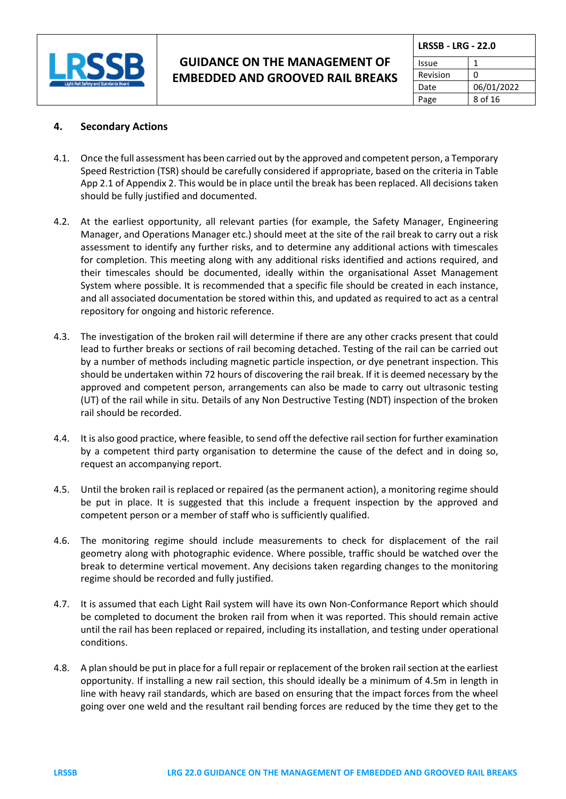

| <b>LRSSB - LRG - 22.0</b> |            |  |  |
|---------------------------|------------|--|--|
| Issue                     |            |  |  |
| Revision                  | n          |  |  |
| Date                      | 06/01/2022 |  |  |
| Page                      | 8 of 16    |  |  |

### **4. Secondary Actions**

- 4.1. Once the full assessment has been carried out by the approved and competent person, a Temporary Speed Restriction (TSR) should be carefully considered if appropriate, based on the criteria in Table App 2.1 of Appendix 2. This would be in place until the break has been replaced. All decisions taken should be fully justified and documented.
- 4.2. At the earliest opportunity, all relevant parties (for example, the Safety Manager, Engineering Manager, and Operations Manager etc.) should meet at the site of the rail break to carry out a risk assessment to identify any further risks, and to determine any additional actions with timescales for completion. This meeting along with any additional risks identified and actions required, and their timescales should be documented, ideally within the organisational Asset Management System where possible. It is recommended that a specific file should be created in each instance, and all associated documentation be stored within this, and updated as required to act as a central repository for ongoing and historic reference.
- 4.3. The investigation of the broken rail will determine if there are any other cracks present that could lead to further breaks or sections of rail becoming detached. Testing of the rail can be carried out by a number of methods including magnetic particle inspection, or dye penetrant inspection. This should be undertaken within 72 hours of discovering the rail break. If it is deemed necessary by the approved and competent person, arrangements can also be made to carry out ultrasonic testing (UT) of the rail while in situ. Details of any Non Destructive Testing (NDT) inspection of the broken rail should be recorded.
- 4.4. It is also good practice, where feasible, to send off the defective rail section for further examination by a competent third party organisation to determine the cause of the defect and in doing so, request an accompanying report.
- 4.5. Until the broken rail is replaced or repaired (as the permanent action), a monitoring regime should be put in place. It is suggested that this include a frequent inspection by the approved and competent person or a member of staff who is sufficiently qualified.
- 4.6. The monitoring regime should include measurements to check for displacement of the rail geometry along with photographic evidence. Where possible, traffic should be watched over the break to determine vertical movement. Any decisions taken regarding changes to the monitoring regime should be recorded and fully justified.
- 4.7. It is assumed that each Light Rail system will have its own Non-Conformance Report which should be completed to document the broken rail from when it was reported. This should remain active until the rail has been replaced or repaired, including its installation, and testing under operational conditions.
- 4.8. A plan should be put in place for a full repair or replacement of the broken rail section at the earliest opportunity. If installing a new rail section, this should ideally be a minimum of 4.5m in length in line with heavy rail standards, which are based on ensuring that the impact forces from the wheel going over one weld and the resultant rail bending forces are reduced by the time they get to the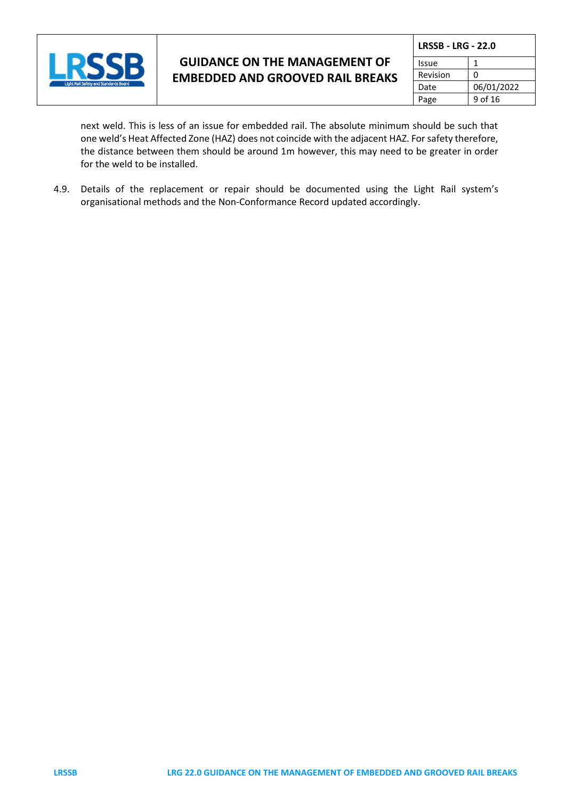

| <b>LRSSB - LRG - 22.0</b> |            |  |
|---------------------------|------------|--|
| Issue                     |            |  |
| Revision                  |            |  |
| Date                      | 06/01/2022 |  |
| Page                      | 9 of 16    |  |

next weld. This is less of an issue for embedded rail. The absolute minimum should be such that one weld's Heat Affected Zone (HAZ) does not coincide with the adjacent HAZ. For safety therefore, the distance between them should be around 1m however, this may need to be greater in order for the weld to be installed.

4.9. Details of the replacement or repair should be documented using the Light Rail system's organisational methods and the Non-Conformance Record updated accordingly.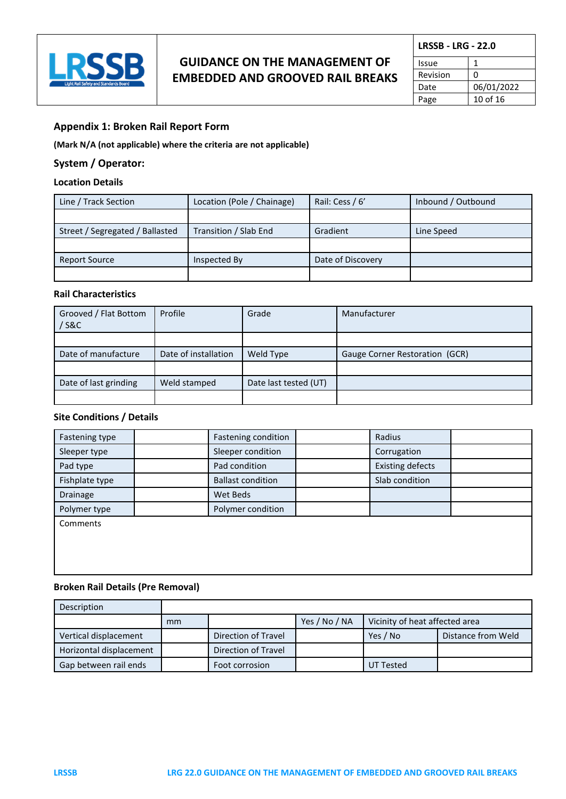

| <b>LRSSB - LRG - 22.0</b> |            |  |  |
|---------------------------|------------|--|--|
| Issue                     |            |  |  |
| Revision                  | n          |  |  |
| Date                      | 06/01/2022 |  |  |
| Page                      | 10 of 16   |  |  |

#### **Appendix 1: Broken Rail Report Form**

**(Mark N/A (not applicable) where the criteria are not applicable)** 

#### **System / Operator:**

#### **Location Details**

| Line / Track Section            | Location (Pole / Chainage) | Rail: Cess / 6'   | Inbound / Outbound |
|---------------------------------|----------------------------|-------------------|--------------------|
|                                 |                            |                   |                    |
| Street / Segregated / Ballasted | Transition / Slab End      | Gradient          | Line Speed         |
|                                 |                            |                   |                    |
| <b>Report Source</b>            | Inspected By               | Date of Discovery |                    |
|                                 |                            |                   |                    |

#### **Rail Characteristics**

| Grooved / Flat Bottom<br>/ S&C | Profile              | Grade                 | Manufacturer                   |
|--------------------------------|----------------------|-----------------------|--------------------------------|
|                                |                      |                       |                                |
| Date of manufacture            | Date of installation | Weld Type             | Gauge Corner Restoration (GCR) |
|                                |                      |                       |                                |
| Date of last grinding          | Weld stamped         | Date last tested (UT) |                                |
|                                |                      |                       |                                |

### **Site Conditions / Details**

| Fastening type | Fastening condition      | Radius                  |  |
|----------------|--------------------------|-------------------------|--|
| Sleeper type   | Sleeper condition        | Corrugation             |  |
| Pad type       | Pad condition            | <b>Existing defects</b> |  |
| Fishplate type | <b>Ballast condition</b> | Slab condition          |  |
| Drainage       | Wet Beds                 |                         |  |
| Polymer type   | Polymer condition        |                         |  |
| Comments       |                          |                         |  |
|                |                          |                         |  |
|                |                          |                         |  |
|                |                          |                         |  |

#### **Broken Rail Details (Pre Removal)**

| Description             |    |                     |               |                                |                    |
|-------------------------|----|---------------------|---------------|--------------------------------|--------------------|
|                         | mm |                     | Yes / No / NA | Vicinity of heat affected area |                    |
| Vertical displacement   |    | Direction of Travel |               | Yes / No                       | Distance from Weld |
| Horizontal displacement |    | Direction of Travel |               |                                |                    |
| Gap between rail ends   |    | Foot corrosion      |               | UT Tested                      |                    |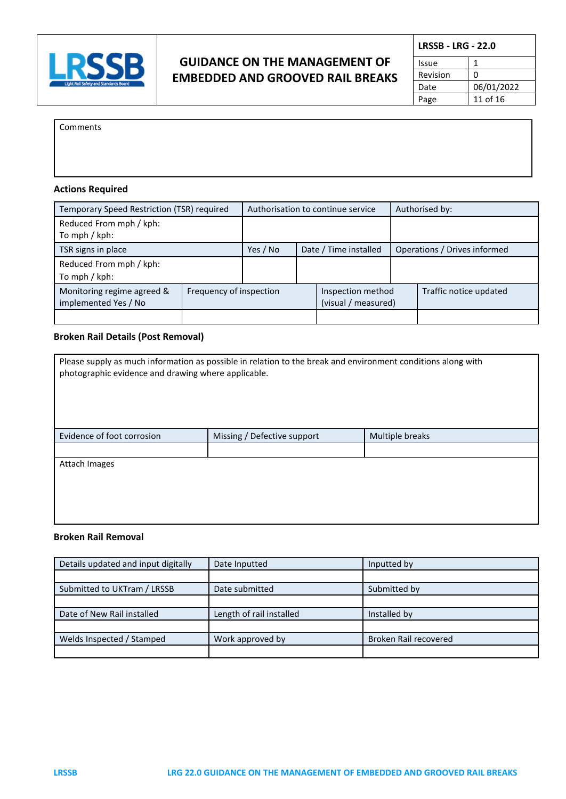

| <b>LRSSB - LRG - 22.0</b> |            |  |  |
|---------------------------|------------|--|--|
| Issue                     | 1          |  |  |
| Revision                  | ŋ          |  |  |
| Date                      | 06/01/2022 |  |  |
| Page                      | 11 of 16   |  |  |

Comments

### **Actions Required**

| Temporary Speed Restriction (TSR) required                                    |  | Authorisation to continue service |  | Authorised by:                           |  |                              |
|-------------------------------------------------------------------------------|--|-----------------------------------|--|------------------------------------------|--|------------------------------|
| Reduced From mph / kph:<br>To mph / kph:                                      |  |                                   |  |                                          |  |                              |
| TSR signs in place                                                            |  | Yes / No                          |  | Date / Time installed                    |  | Operations / Drives informed |
| Reduced From mph / kph:<br>To mph / kph:                                      |  |                                   |  |                                          |  |                              |
| Monitoring regime agreed &<br>Frequency of inspection<br>implemented Yes / No |  |                                   |  | Inspection method<br>(visual / measured) |  | Traffic notice updated       |
|                                                                               |  |                                   |  |                                          |  |                              |

#### **Broken Rail Details (Post Removal)**

| Please supply as much information as possible in relation to the break and environment conditions along with |                             |                 |  |  |  |  |
|--------------------------------------------------------------------------------------------------------------|-----------------------------|-----------------|--|--|--|--|
| photographic evidence and drawing where applicable.                                                          |                             |                 |  |  |  |  |
|                                                                                                              |                             |                 |  |  |  |  |
|                                                                                                              |                             |                 |  |  |  |  |
|                                                                                                              |                             |                 |  |  |  |  |
| Evidence of foot corrosion                                                                                   | Missing / Defective support | Multiple breaks |  |  |  |  |
|                                                                                                              |                             |                 |  |  |  |  |
| Attach Images                                                                                                |                             |                 |  |  |  |  |
|                                                                                                              |                             |                 |  |  |  |  |
|                                                                                                              |                             |                 |  |  |  |  |
|                                                                                                              |                             |                 |  |  |  |  |
|                                                                                                              |                             |                 |  |  |  |  |

#### **Broken Rail Removal**

| Details updated and input digitally | Date Inputted            | Inputted by           |
|-------------------------------------|--------------------------|-----------------------|
|                                     |                          |                       |
| Submitted to UKTram / LRSSB         | Date submitted           | Submitted by          |
|                                     |                          |                       |
| Date of New Rail installed          | Length of rail installed | Installed by          |
|                                     |                          |                       |
| Welds Inspected / Stamped           | Work approved by         | Broken Rail recovered |
|                                     |                          |                       |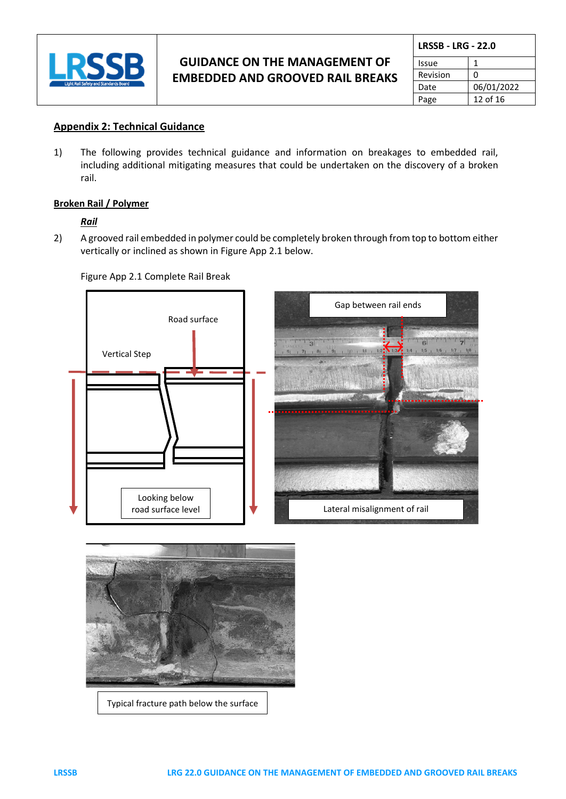

|          | <b>LRSSB - LRG - 22.0</b> |  |  |
|----------|---------------------------|--|--|
| Issue    | 1                         |  |  |
| Revision | 0                         |  |  |
| Date     | 06/01/2022                |  |  |
| Page     | 12 of 16                  |  |  |

### **Appendix 2: Technical Guidance**

1) The following provides technical guidance and information on breakages to embedded rail, including additional mitigating measures that could be undertaken on the discovery of a broken rail.

### **Broken Rail / Polymer**

#### *Rail*

2) A grooved rail embedded in polymer could be completely broken through from top to bottom either vertically or inclined as shown in Figure App 2.1 below.

Figure App 2.1 Complete Rail Break



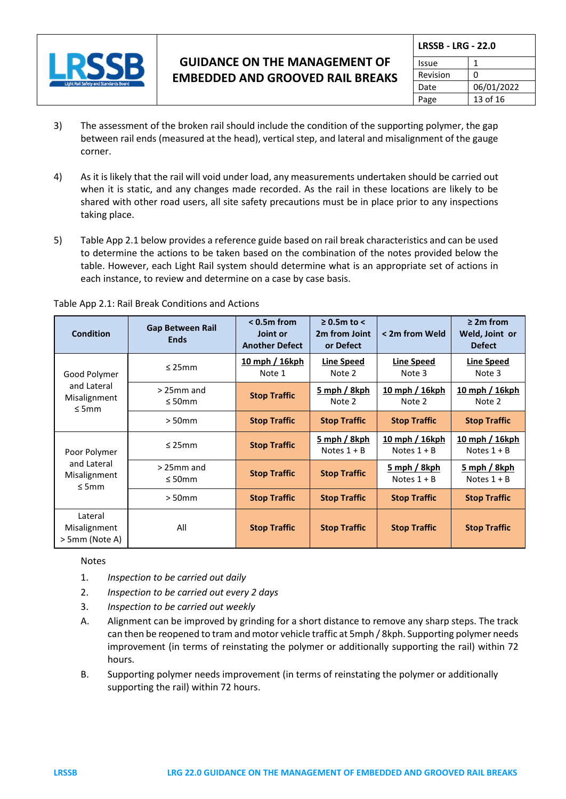

| <b>LRSSB - LRG - 22.0</b> |            |  |
|---------------------------|------------|--|
| Issue                     |            |  |
| Revision                  | n          |  |
| Date                      | 06/01/2022 |  |
| Page                      | 13 of 16   |  |

- 3) The assessment of the broken rail should include the condition of the supporting polymer, the gap between rail ends (measured at the head), vertical step, and lateral and misalignment of the gauge corner.
- 4) As it is likely that the rail will void under load, any measurements undertaken should be carried out when it is static, and any changes made recorded. As the rail in these locations are likely to be shared with other road users, all site safety precautions must be in place prior to any inspections taking place.
- 5) Table App 2.1 below provides a reference guide based on rail break characteristics and can be used to determine the actions to be taken based on the combination of the notes provided below the table. However, each Light Rail system should determine what is an appropriate set of actions in each instance, to review and determine on a case by case basis.

| <b>Condition</b>                                          | <b>Gap Between Rail</b><br><b>Ends</b> | $< 0.5m$ from<br>Joint or<br><b>Another Defect</b> | $\geq$ 0.5m to <<br>2m from Joint<br>or Defect | < 2m from Weld                         | $\geq$ 2m from<br>Weld, Joint or<br><b>Defect</b> |
|-----------------------------------------------------------|----------------------------------------|----------------------------------------------------|------------------------------------------------|----------------------------------------|---------------------------------------------------|
| Good Polymer<br>and Lateral<br>Misalignment<br>$\leq$ 5mm | $\leq$ 25mm                            | 10 mph / 16kph<br>Note 1                           | <b>Line Speed</b><br>Note 2                    | <b>Line Speed</b><br>Note 3            | <b>Line Speed</b><br>Note 3                       |
|                                                           | $>$ 25mm and<br>$\leq$ 50mm            | <b>Stop Traffic</b>                                | 5 mph / 8kph<br>Note 2                         | 10 mph / 16kph<br>Note 2               | 10 mph / 16kph<br>Note 2                          |
|                                                           | $>50$ mm                               | <b>Stop Traffic</b>                                | <b>Stop Traffic</b>                            | <b>Stop Traffic</b>                    | <b>Stop Traffic</b>                               |
| Poor Polymer                                              | $\leq$ 25mm                            | <b>Stop Traffic</b>                                | <u>5 mph / 8kph</u><br>Notes $1 + B$           | <u>10 mph / 16kph</u><br>Notes $1 + B$ | <u>10 mph / 16kph</u><br>Notes $1 + B$            |
| and Lateral<br>Misalignment<br>$\leq$ 5mm                 | $>$ 25mm and<br>$\leq$ 50mm            | <b>Stop Traffic</b>                                | <b>Stop Traffic</b>                            | <u>5 mph / 8kph</u><br>Notes $1 + B$   | <u>5 mph / 8kph</u><br>Notes $1 + B$              |
|                                                           | $>50$ mm                               | <b>Stop Traffic</b>                                | <b>Stop Traffic</b>                            | <b>Stop Traffic</b>                    | <b>Stop Traffic</b>                               |
| Lateral<br>Misalignment<br>> 5mm (Note A)                 | All                                    | <b>Stop Traffic</b>                                | <b>Stop Traffic</b>                            | <b>Stop Traffic</b>                    | <b>Stop Traffic</b>                               |

#### Table App 2.1: Rail Break Conditions and Actions

Notes

- 1. *Inspection to be carried out daily*
- 2. *Inspection to be carried out every 2 days*
- 3. *Inspection to be carried out weekly*
- A. Alignment can be improved by grinding for a short distance to remove any sharp steps. The track can then be reopened to tram and motor vehicle traffic at 5mph / 8kph. Supporting polymer needs improvement (in terms of reinstating the polymer or additionally supporting the rail) within 72 hours.
- B. Supporting polymer needs improvement (in terms of reinstating the polymer or additionally supporting the rail) within 72 hours.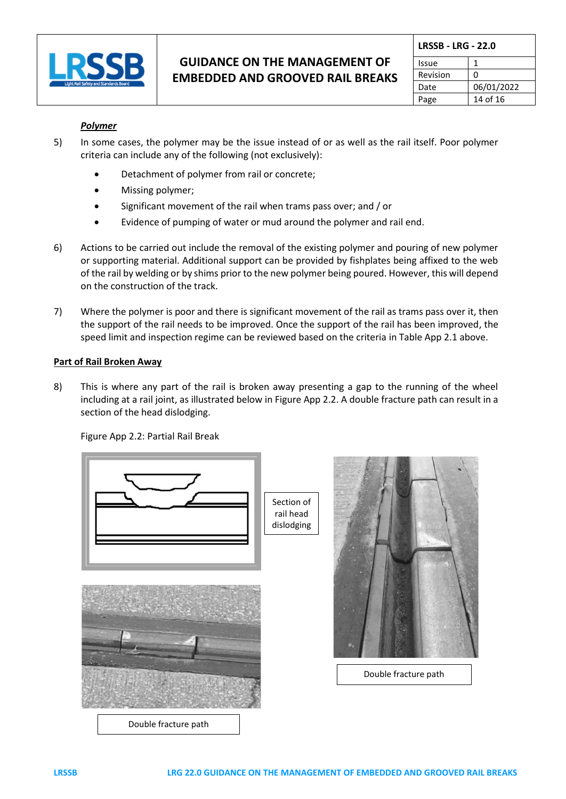

| <b>LRSSB - LRG - 22.0</b> |            |  |
|---------------------------|------------|--|
| Issue                     |            |  |
| Revision                  | 0          |  |
| Date                      | 06/01/2022 |  |
| Page                      | 14 of 16   |  |

### *Polymer*

- 5) In some cases, the polymer may be the issue instead of or as well as the rail itself. Poor polymer criteria can include any of the following (not exclusively):
	- Detachment of polymer from rail or concrete;
	- Missing polymer;
	- Significant movement of the rail when trams pass over; and / or
	- Evidence of pumping of water or mud around the polymer and rail end.
- 6) Actions to be carried out include the removal of the existing polymer and pouring of new polymer or supporting material. Additional support can be provided by fishplates being affixed to the web of the rail by welding or by shims prior to the new polymer being poured. However, this will depend on the construction of the track.
- 7) Where the polymer is poor and there is significant movement of the rail as trams pass over it, then the support of the rail needs to be improved. Once the support of the rail has been improved, the speed limit and inspection regime can be reviewed based on the criteria in Table App 2.1 above.

#### **Part of Rail Broken Away**

8) This is where any part of the rail is broken away presenting a gap to the running of the wheel including at a rail joint, as illustrated below in Figure App 2.2. A double fracture path can result in a section of the head dislodging.

Figure App 2.2: Partial Rail Break